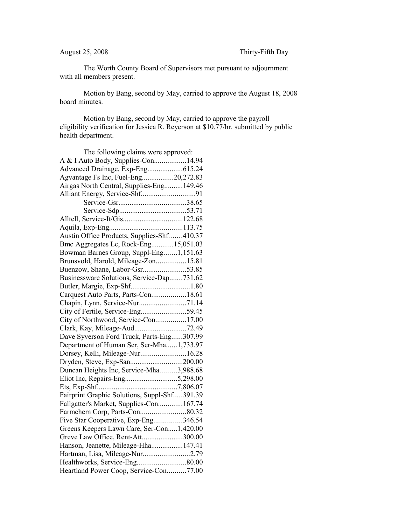The Worth County Board of Supervisors met pursuant to adjournment with all members present.

Motion by Bang, second by May, carried to approve the August 18, 2008 board minutes.

Motion by Bang, second by May, carried to approve the payroll eligibility verification for Jessica R. Reyerson at \$10.77/hr. submitted by public health department.

| The following claims were approved:          |  |
|----------------------------------------------|--|
| A & I Auto Body, Supplies-Con14.94           |  |
|                                              |  |
| Agvantage Fs Inc, Fuel-Eng20,272.83          |  |
| Airgas North Central, Supplies-Eng149.46     |  |
|                                              |  |
|                                              |  |
|                                              |  |
|                                              |  |
|                                              |  |
| Austin Office Products, Supplies-Shf410.37   |  |
| Bmc Aggregates Lc, Rock-Eng15,051.03         |  |
| Bowman Barnes Group, Suppl-Eng1,151.63       |  |
| Brunsvold, Harold, Mileage-Zon15.81          |  |
| Buenzow, Shane, Labor-Gsr53.85               |  |
| Businessware Solutions, Service-Dap731.62    |  |
|                                              |  |
| Carquest Auto Parts, Parts-Con18.61          |  |
| Chapin, Lynn, Service-Nur71.14               |  |
| City of Fertile, Service-Eng59.45            |  |
| City of Northwood, Service-Con17.00          |  |
|                                              |  |
| Dave Syverson Ford Truck, Parts-Eng307.99    |  |
| Department of Human Ser, Ser-Mha1,733.97     |  |
| Dorsey, Kelli, Mileage-Nur16.28              |  |
| Dryden, Steve, Exp-San200.00                 |  |
| Duncan Heights Inc, Service-Mha3,988.68      |  |
| Eliot Inc, Repairs-Eng5,298.00               |  |
|                                              |  |
| Fairprint Graphic Solutions, Suppl-Shf391.39 |  |
| Fallgatter's Market, Supplies-Con167.74      |  |
|                                              |  |
| Five Star Cooperative, Exp-Eng346.54         |  |
| Greens Keepers Lawn Care, Ser-Con1,420.00    |  |
| Greve Law Office, Rent-Att300.00             |  |
| Hanson, Jeanette, Mileage-Hha147.41          |  |
| Hartman, Lisa, Mileage-Nur2.79               |  |
|                                              |  |
| Heartland Power Coop, Service-Con77.00       |  |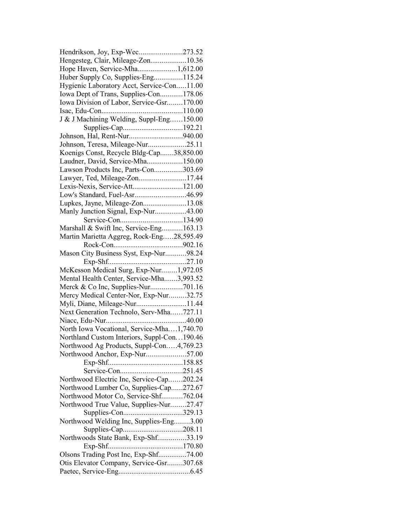| Hendrikson, Joy, Exp-Wec273.52              |  |
|---------------------------------------------|--|
| Hengesteg, Clair, Mileage-Zon10.36          |  |
| Hope Haven, Service-Mha1,612.00             |  |
| Huber Supply Co, Supplies-Eng115.24         |  |
| Hygienic Laboratory Acct, Service-Con11.00  |  |
| Iowa Dept of Trans, Supplies-Con178.06      |  |
| Iowa Division of Labor, Service-Gsr170.00   |  |
|                                             |  |
| J & J Machining Welding, Suppl-Eng150.00    |  |
|                                             |  |
|                                             |  |
| Johnson, Teresa, Mileage-Nur25.11           |  |
| Koenigs Const, Recycle Bldg-Cap38,850.00    |  |
| Laudner, David, Service-Mha150.00           |  |
| Lawson Products Inc, Parts-Con303.69        |  |
| Lawyer, Ted, Mileage-Zon17.44               |  |
| Lexis-Nexis, Service-Att121.00              |  |
| Low's Standard, Fuel-Asr46.99               |  |
|                                             |  |
| Lupkes, Jayne, Mileage-Zon13.08             |  |
| Manly Junction Signal, Exp-Nur43.00         |  |
|                                             |  |
| Marshall & Swift Inc, Service-Eng163.13     |  |
| Martin Marietta Aggreg, Rock-Eng28,595.49   |  |
|                                             |  |
| Mason City Business Syst, Exp-Nur98.24      |  |
|                                             |  |
| McKesson Medical Surg, Exp-Nur1,972.05      |  |
| Mental Health Center, Service-Mha3,993.52   |  |
| Merck & Co Inc, Supplies-Nur701.16          |  |
| Mercy Medical Center-Nor, Exp-Nur32.75      |  |
| Myli, Diane, Mileage-Nur11.44               |  |
| Next Generation Technolo, Serv-Mha727.11    |  |
|                                             |  |
| North Iowa Vocational, Service-Mha1,740.70  |  |
| Northland Custom Interiors, Suppl-Con190.46 |  |
| Northwood Ag Products, Suppl-Con4,769.23    |  |
| Northwood Anchor, Exp-Nur57.00              |  |
|                                             |  |
|                                             |  |
| Northwood Electric Inc, Service-Cap202.24   |  |
| Northwood Lumber Co, Supplies-Cap272.67     |  |
| Northwood Motor Co, Service-Shf762.04       |  |
| Northwood True Value, Supplies-Nur27.47     |  |
|                                             |  |
| Northwood Welding Inc, Supplies-Eng3.00     |  |
|                                             |  |
| Northwoods State Bank, Exp-Shf33.19         |  |
|                                             |  |
| Olsons Trading Post Inc, Exp-Shf74.00       |  |
| Otis Elevator Company, Service-Gsr307.68    |  |
|                                             |  |
|                                             |  |